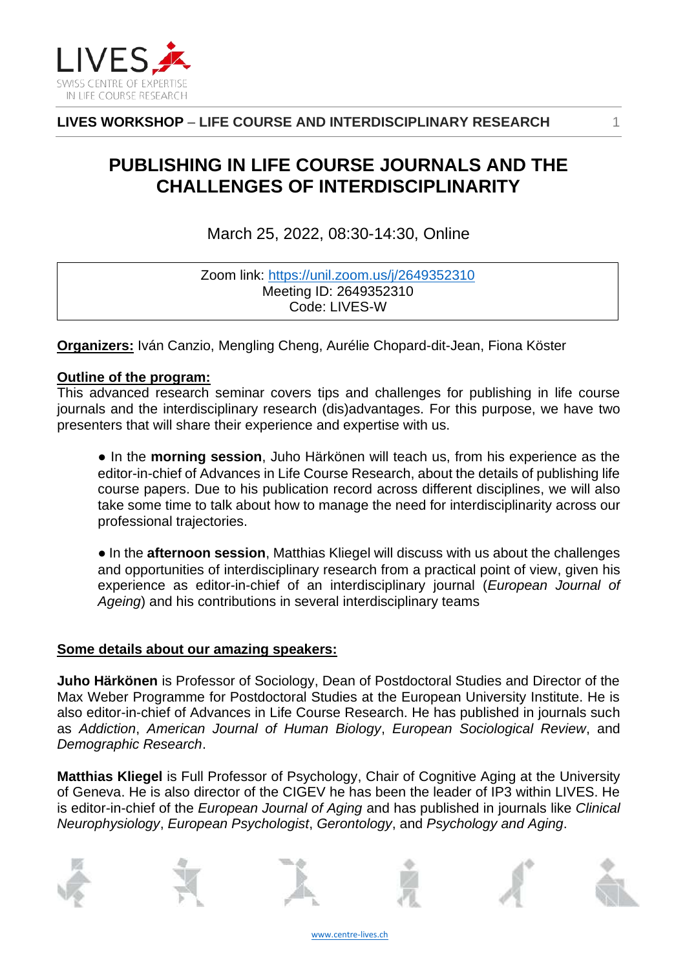

**LIVES WORKSHOP** – **LIFE COURSE AND INTERDISCIPLINARY RESEARCH** 1

# **PUBLISHING IN LIFE COURSE JOURNALS AND THE CHALLENGES OF INTERDISCIPLINARITY**

March 25, 2022, 08:30-14:30, Online

| Zoom link: https://unil.zoom.us/j/2649352310 |
|----------------------------------------------|
| Meeting ID: 2649352310                       |
| Code: LIVES-W                                |

**Organizers:** Iván Canzio, Mengling Cheng, Aurélie Chopard-dit-Jean, Fiona Köster

## **Outline of the program:**

This advanced research seminar covers tips and challenges for publishing in life course journals and the interdisciplinary research (dis)advantages. For this purpose, we have two presenters that will share their experience and expertise with us.

● In the **morning session**, Juho Härkönen will teach us, from his experience as the editor-in-chief of Advances in Life Course Research, about the details of publishing life course papers. Due to his publication record across different disciplines, we will also take some time to talk about how to manage the need for interdisciplinarity across our professional trajectories.

● In the **afternoon session**, Matthias Kliegel will discuss with us about the challenges and opportunities of interdisciplinary research from a practical point of view, given his experience as editor-in-chief of an interdisciplinary journal (*European Journal of Ageing*) and his contributions in several interdisciplinary teams

## **Some details about our amazing speakers:**

**Juho Härkönen** is Professor of Sociology, Dean of Postdoctoral Studies and Director of the Max Weber Programme for Postdoctoral Studies at the European University Institute. He is also editor-in-chief of Advances in Life Course Research. He has published in journals such as *Addiction*, *American Journal of Human Biology*, *European Sociological Review*, and *Demographic Research*.

**Matthias Kliegel** is Full Professor of Psychology, Chair of Cognitive Aging at the University of Geneva. He is also director of the CIGEV he has been the leader of IP3 within LIVES. He is editor-in-chief of the *European Journal of Aging* and has published in journals like *Clinical Neurophysiology*, *European Psychologist*, *Gerontology*, and *Psychology and Aging*.